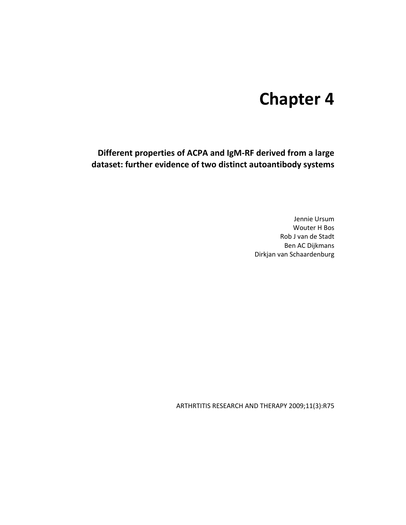# **Chapter 4**

**Different properties of ACPA and IgM-RF derived from a large dataset: further evidence of two distinct autoantibody systems** 

> Jennie Ursum Wouter H Bos Rob J van de Stadt Ben AC Dijkmans Dirkjan van Schaardenburg

ARTHRTITIS RESEARCH AND THERAPY 2009;11(3):R75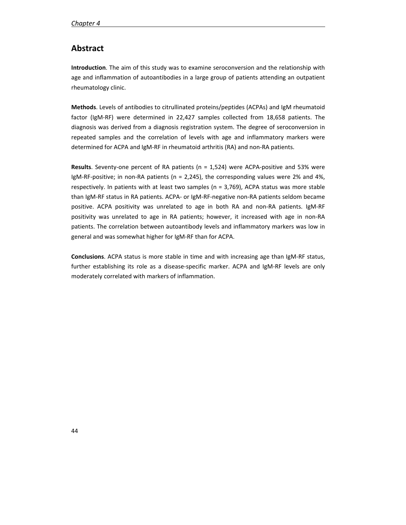# **Abstract**

**Introduction**. The aim of this study was to examine seroconversion and the relationship with age and inflammation of autoantibodies in a large group of patients attending an outpatient rheumatology clinic.

**Methods**. Levels of antibodies to citrullinated proteins/peptides (ACPAs) and IgM rheumatoid factor (IgM-RF) were determined in 22,427 samples collected from 18,658 patients. The diagnosis was derived from a diagnosis registration system. The degree of seroconversion in repeated samples and the correlation of levels with age and inflammatory markers were determined for ACPA and IgM-RF in rheumatoid arthritis (RA) and non-RA patients.

**Results**. Seventy-one percent of RA patients (n = 1,524) were ACPA-positive and 53% were IgM-RF-positive; in non-RA patients ( $n = 2,245$ ), the corresponding values were 2% and 4%, respectively. In patients with at least two samples (n = 3,769), ACPA status was more stable than IgM-RF status in RA patients. ACPA- or IgM-RF-negative non-RA patients seldom became positive. ACPA positivity was unrelated to age in both RA and non-RA patients. IgM-RF positivity was unrelated to age in RA patients; however, it increased with age in non-RA patients. The correlation between autoantibody levels and inflammatory markers was low in general and was somewhat higher for IgM-RF than for ACPA.

**Conclusions**. ACPA status is more stable in time and with increasing age than IgM-RF status, further establishing its role as a disease-specific marker. ACPA and IgM-RF levels are only moderately correlated with markers of inflammation.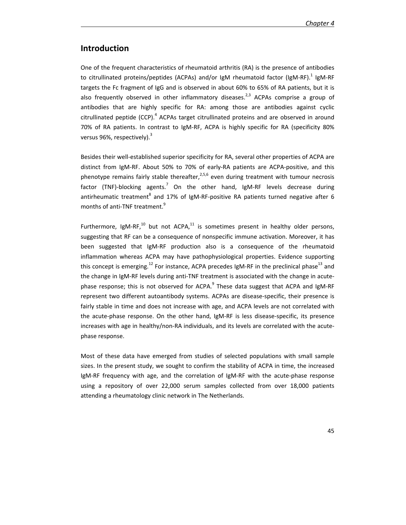# **Introduction**

One of the frequent characteristics of rheumatoid arthritis (RA) is the presence of antibodies to citrullinated proteins/peptides (ACPAs) and/or IgM rheumatoid factor (IgM-RF).<sup>1</sup> IgM-RF targets the Fc fragment of IgG and is observed in about 60% to 65% of RA patients, but it is also frequently observed in other inflammatory diseases.<sup>2,3</sup> ACPAs comprise a group of antibodies that are highly specific for RA: among those are antibodies against cyclic citrullinated peptide (CCP). $^4$  ACPAs target citrullinated proteins and are observed in around 70% of RA patients. In contrast to IgM-RF, ACPA is highly specific for RA (specificity 80% versus 96%, respectively). $3$ 

Besides their well-established superior specificity for RA, several other properties of ACPA are distinct from IgM-RF. About 50% to 70% of early-RA patients are ACPA-positive, and this phenotype remains fairly stable thereafter,  $2.5,6$  even during treatment with tumour necrosis factor (TNF)-blocking agents.<sup>7</sup> On the other hand, IgM-RF levels decrease during antirheumatic treatment<sup>8</sup> and 17% of IgM-RF-positive RA patients turned negative after 6 months of anti-TNF treatment.<sup>9</sup>

Furthermore, IgM-RF, $^{10}$  but not ACPA, $^{11}$  is sometimes present in healthy older persons, suggesting that RF can be a consequence of nonspecific immune activation. Moreover, it has been suggested that IgM-RF production also is a consequence of the rheumatoid inflammation whereas ACPA may have pathophysiological properties. Evidence supporting this concept is emerging.<sup>12</sup> For instance, ACPA precedes IgM-RF in the preclinical phase<sup>13</sup> and the change in IgM-RF levels during anti-TNF treatment is associated with the change in acutephase response; this is not observed for ACPA.<sup>9</sup> These data suggest that ACPA and IgM-RF represent two different autoantibody systems. ACPAs are disease-specific, their presence is fairly stable in time and does not increase with age, and ACPA levels are not correlated with the acute-phase response. On the other hand, IgM-RF is less disease-specific, its presence increases with age in healthy/non-RA individuals, and its levels are correlated with the acutephase response.

Most of these data have emerged from studies of selected populations with small sample sizes. In the present study, we sought to confirm the stability of ACPA in time, the increased IgM-RF frequency with age, and the correlation of IgM-RF with the acute-phase response using a repository of over 22,000 serum samples collected from over 18,000 patients attending a rheumatology clinic network in The Netherlands.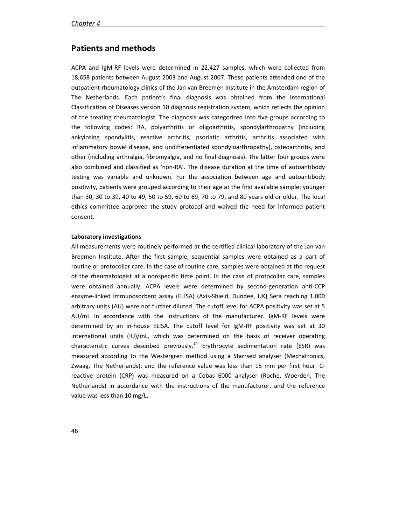# **Patients and methods**

ACPA and IgM-RF levels were determined in 22,427 samples, which were collected from 18,658 patients between August 2003 and August 2007. These patients attended one of the outpatient rheumatology clinics of the Jan van Breemen Institute in the Amsterdam region of The Netherlands. Each patient's final diagnosis was obtained from the International Classification of Diseases version 10 diagnosis registration system, which reflects the opinion of the treating rheumatologist. The diagnosis was categorized into five groups according to the following codes: RA, polyarthritis or oligoarthritis, spondylarthropathy (including ankylosing spondylitis, reactive arthritis, psoriatic arthritis, arthritis associated with inflammatory bowel disease, and undifferentiated spondyloarthropathy), osteoarthritis, and other (including arthralgia, fibromyalgia, and no final diagnosis). The latter four groups were also combined and classified as 'non-RA'. The disease duration at the time of autoantibody testing was variable and unknown. For the association between age and autoantibody positivity, patients were grouped according to their age at the first available sample: younger than 30, 30 to 39, 40 to 49, 50 to 59, 60 to 69, 70 to 79, and 80 years old or older. The local ethics committee approved the study protocol and waived the need for informed patient consent.

#### **Laboratory investigations**

All measurements were routinely performed at the certified clinical laboratory of the Jan van Breemen Institute. After the first sample, sequential samples were obtained as a part of routine or protocollar care. In the case of routine care, samples were obtained at the request of the rheumatologist at a nonspecific time point. In the case of protocollar care, samples were obtained annually. ACPA levels were determined by second-generation anti-CCP enzyme-linked immunosorbent assay (ELISA) (Axis-Shield, Dundee, UK**)** Sera reaching 1,000 arbitrary units (AU) were not further diluted. The cutoff level for ACPA positivity was set at 5 AU/mL in accordance with the instructions of the manufacturer. IgM-RF levels were determined by an in-house ELISA. The cutoff level for IgM-RF positivity was set at 30 international units (IU)/mL, which was determined on the basis of receiver operating characteristic curves described previously.<sup>14</sup> Erythrocyte sedimentation rate (ESR) was measured according to the Westergren method using a Starrsed analyser (Mechatronics, Zwaag, The Netherlands), and the reference value was less than 15 mm per first hour. Creactive protein (CRP) was measured on a Cobas 6000 analyser (Roche, Woerden, The Netherlands) in accordance with the instructions of the manufacturer, and the reference value was less than 10 mg/L.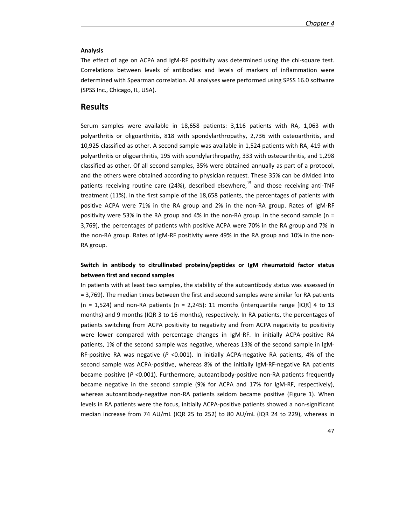#### **Analysis**

The effect of age on ACPA and IgM-RF positivity was determined using the chi-square test. Correlations between levels of antibodies and levels of markers of inflammation were determined with Spearman correlation. All analyses were performed using SPSS 16.0 software (SPSS Inc., Chicago, IL, USA).

### **Results**

Serum samples were available in 18,658 patients: 3,116 patients with RA, 1,063 with polyarthritis or oligoarthritis, 818 with spondylarthropathy, 2,736 with osteoarthritis, and 10,925 classified as other. A second sample was available in 1,524 patients with RA, 419 with polyarthritis or oligoarthritis, 195 with spondylarthropathy, 333 with osteoarthritis, and 1,298 classified as other. Of all second samples, 35% were obtained annually as part of a protocol, and the others were obtained according to physician request. These 35% can be divided into patients receiving routine care (24%), described elsewhere, $^{15}$  and those receiving anti-TNF treatment (11%). In the first sample of the 18,658 patients, the percentages of patients with positive ACPA were 71% in the RA group and 2% in the non-RA group. Rates of IgM-RF positivity were 53% in the RA group and 4% in the non-RA group. In the second sample (n = 3,769), the percentages of patients with positive ACPA were 70% in the RA group and 7% in the non-RA group. Rates of IgM-RF positivity were 49% in the RA group and 10% in the non-RA group.

## **Switch in antibody to citrullinated proteins/peptides or IgM rheumatoid factor status between first and second samples**

In patients with at least two samples, the stability of the autoantibody status was assessed (n = 3,769). The median times between the first and second samples were similar for RA patients (n = 1,524) and non-RA patients (n = 2,245): 11 months (interquartile range [IQR] 4 to 13 months) and 9 months (IQR 3 to 16 months), respectively. In RA patients, the percentages of patients switching from ACPA positivity to negativity and from ACPA negativity to positivity were lower compared with percentage changes in IgM-RF. In initially ACPA-positive RA patients, 1% of the second sample was negative, whereas 13% of the second sample in IgM-RF-positive RA was negative (*P* <0.001). In initially ACPA-negative RA patients, 4% of the second sample was ACPA-positive, whereas 8% of the initially IgM-RF-negative RA patients became positive (*P* <0.001). Furthermore, autoantibody-positive non-RA patients frequently became negative in the second sample (9% for ACPA and 17% for IgM-RF, respectively), whereas autoantibody-negative non-RA patients seldom became positive (Figure 1). When levels in RA patients were the focus, initially ACPA-positive patients showed a non-significant median increase from 74 AU/mL (IQR 25 to 252) to 80 AU/mL (IQR 24 to 229), whereas in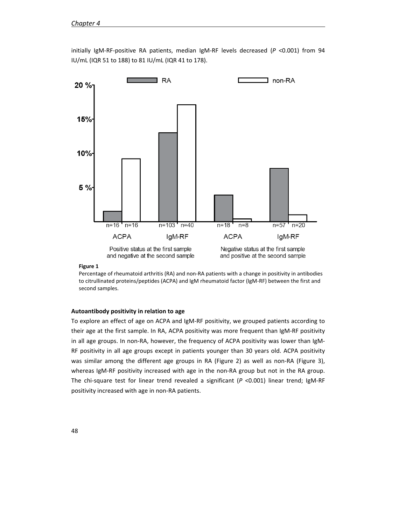

initially IgM-RF-positive RA patients, median IgM-RF levels decreased (*P* <0.001) from 94 IU/mL (IQR 51 to 188) to 81 IU/mL (IQR 41 to 178).

#### **Figure 1**

Percentage of rheumatoid arthritis (RA) and non-RA patients with a change in positivity in antibodies to citrullinated proteins/peptides (ACPA) and IgM rheumatoid factor (IgM-RF) between the first and second samples.

#### **Autoantibody positivity in relation to age**

To explore an effect of age on ACPA and IgM-RF positivity, we grouped patients according to their age at the first sample. In RA, ACPA positivity was more frequent than IgM-RF positivity in all age groups. In non-RA, however, the frequency of ACPA positivity was lower than IgM-RF positivity in all age groups except in patients younger than 30 years old. ACPA positivity was similar among the different age groups in RA (Figure 2) as well as non-RA (Figure 3), whereas IgM-RF positivity increased with age in the non-RA group but not in the RA group. The chi-square test for linear trend revealed a significant (*P* <0.001) linear trend; IgM-RF positivity increased with age in non-RA patients.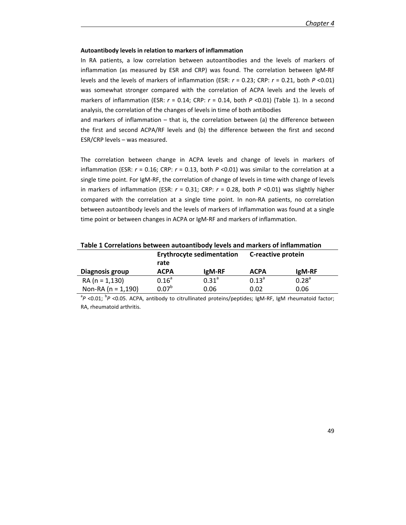#### **Autoantibody levels in relation to markers of inflammation**

In RA patients, a low correlation between autoantibodies and the levels of markers of inflammation (as measured by ESR and CRP) was found. The correlation between IgM-RF levels and the levels of markers of inflammation (ESR: *r* = 0.23; CRP: *r* = 0.21, both *P* <0.01) was somewhat stronger compared with the correlation of ACPA levels and the levels of markers of inflammation (ESR: *r* = 0.14; CRP: *r* = 0.14, both *P* <0.01) (Table 1). In a second analysis, the correlation of the changes of levels in time of both antibodies

and markers of inflammation – that is, the correlation between (a) the difference between the first and second ACPA/RF levels and (b) the difference between the first and second ESR/CRP levels – was measured.

The correlation between change in ACPA levels and change of levels in markers of inflammation (ESR: *r* = 0.16; CRP: *r* = 0.13, both *P* <0.01) was similar to the correlation at a single time point. For IgM-RF, the correlation of change of levels in time with change of levels in markers of inflammation (ESR: *r* = 0.31; CRP: *r* = 0.28, both *P* <0.01) was slightly higher compared with the correlation at a single time point. In non-RA patients, no correlation between autoantibody levels and the levels of markers of inflammation was found at a single time point or between changes in ACPA or IgM-RF and markers of inflammation.

| Table 1 Correlations between autoantibody levels and markers of inflammation |                                          |            |                    |            |
|------------------------------------------------------------------------------|------------------------------------------|------------|--------------------|------------|
|                                                                              | <b>Erythrocyte sedimentation</b><br>rate |            | C-reactive protein |            |
| Diagnosis group                                                              | <b>ACPA</b>                              | IgM-RF     | <b>ACPA</b>        | lgM-RF     |
| $RA (n = 1,130)$                                                             | $0.16^a$                                 | $0.31^{a}$ | $0.13^{\circ}$     | $0.28^{a}$ |
| Non-RA ( $n = 1,190$ )                                                       | $0.07^{b}$                               | 0.06       | 0.02               | 0.06       |

<sup>a</sup>P <0.01; <sup>b</sup>P <0.05. ACPA, antibody to citrullinated proteins/peptides; IgM-RF, IgM rheumatoid factor; RA, rheumatoid arthritis.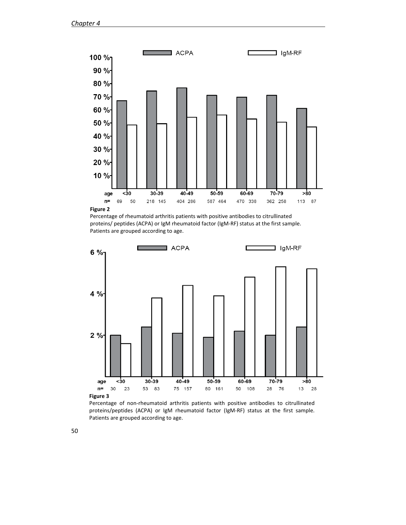

**Figure 2**

Percentage of rheumatoid arthritis patients with positive antibodies to citrullinated proteins/ peptides (ACPA) or IgM rheumatoid factor (IgM-RF) status at the first sample. Patients are grouped according to age.



Percentage of non-rheumatoid arthritis patients with positive antibodies to citrullinated proteins/peptides (ACPA) or IgM rheumatoid factor (IgM-RF) status at the first sample. Patients are grouped according to age.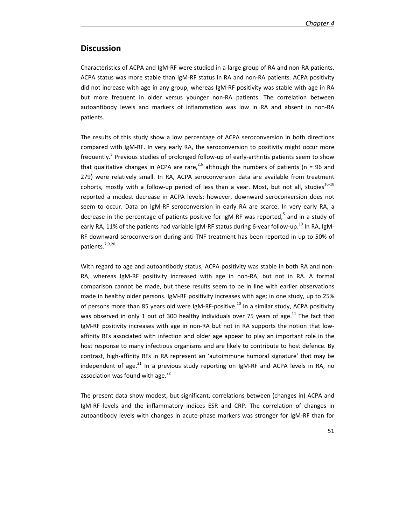# **Discussion**

Characteristics of ACPA and IgM-RF were studied in a large group of RA and non-RA patients. ACPA status was more stable than IgM-RF status in RA and non-RA patients. ACPA positivity did not increase with age in any group, whereas IgM-RF positivity was stable with age in RA but more frequent in older versus younger non-RA patients. The correlation between autoantibody levels and markers of inflammation was low in RA and absent in non-RA patients.

The results of this study show a low percentage of ACPA seroconversion in both directions compared with IgM-RF. In very early RA, the seroconversion to positivity might occur more frequently.<sup>5</sup> Previous studies of prolonged follow-up of early-arthritis patients seem to show that qualitative changes in ACPA are rare,<sup>2,6</sup> although the numbers of patients (n = 96 and 279) were relatively small. In RA, ACPA seroconversion data are available from treatment cohorts, mostly with a follow-up period of less than a year. Most, but not all, studies<sup>16-18</sup> reported a modest decrease in ACPA levels; however, downward seroconversion does not seem to occur. Data on IgM-RF seroconversion in early RA are scarce. In very early RA, a decrease in the percentage of patients positive for IgM-RF was reported,<sup>5</sup> and in a study of early RA, 11% of the patients had variable IgM-RF status during 6-year follow-up.<sup>19</sup> In RA, IgM-RF downward seroconversion during anti-TNF treatment has been reported in up to 50% of patients.7,9,20

With regard to age and autoantibody status, ACPA positivity was stable in both RA and non-RA, whereas IgM-RF positivity increased with age in non-RA, but not in RA. A formal comparison cannot be made, but these results seem to be in line with earlier observations made in healthy older persons. IgM-RF positivity increases with age; in one study, up to 25% of persons more than 85 years old were IgM-RF-positive.<sup>10</sup> In a similar study, ACPA positivity was observed in only 1 out of 300 healthy individuals over 75 years of age. $^{11}$  The fact that IgM-RF positivity increases with age in non-RA but not in RA supports the notion that lowaffinity RFs associated with infection and older age appear to play an important role in the host response to many infectious organisms and are likely to contribute to host defence. By contrast, high-affinity RFs in RA represent an 'autoimmune humoral signature' that may be independent of age. $^{21}$  In a previous study reporting on IgM-RF and ACPA levels in RA, no association was found with age.<sup>22</sup>

The present data show modest, but significant, correlations between (changes in) ACPA and IgM-RF levels and the inflammatory indices ESR and CRP. The correlation of changes in autoantibody levels with changes in acute-phase markers was stronger for IgM-RF than for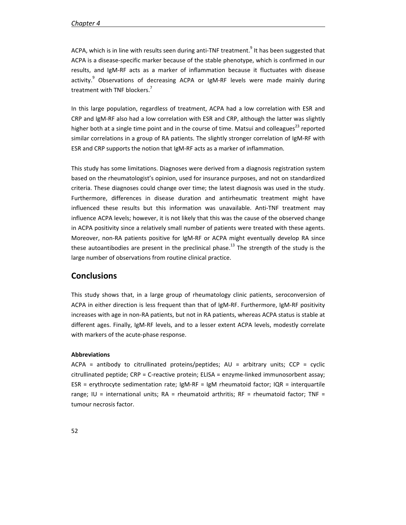ACPA, which is in line with results seen during anti-TNF treatment.<sup>9</sup> It has been suggested that ACPA is a disease-specific marker because of the stable phenotype, which is confirmed in our results, and IgM-RF acts as a marker of inflammation because it fluctuates with disease activity.<sup>9</sup> Observations of decreasing ACPA or IgM-RF levels were made mainly during treatment with TNF blockers.<sup>7</sup>

In this large population, regardless of treatment, ACPA had a low correlation with ESR and CRP and IgM-RF also had a low correlation with ESR and CRP, although the latter was slightly higher both at a single time point and in the course of time. Matsui and colleagues<sup>23</sup> reported similar correlations in a group of RA patients. The slightly stronger correlation of IgM-RF with ESR and CRP supports the notion that IgM-RF acts as a marker of inflammation.

This study has some limitations. Diagnoses were derived from a diagnosis registration system based on the rheumatologist's opinion, used for insurance purposes, and not on standardized criteria. These diagnoses could change over time; the latest diagnosis was used in the study. Furthermore, differences in disease duration and antirheumatic treatment might have influenced these results but this information was unavailable. Anti-TNF treatment may influence ACPA levels; however, it is not likely that this was the cause of the observed change in ACPA positivity since a relatively small number of patients were treated with these agents. Moreover, non-RA patients positive for IgM-RF or ACPA might eventually develop RA since these autoantibodies are present in the preclinical phase.<sup>13</sup> The strength of the study is the large number of observations from routine clinical practice.

## **Conclusions**

This study shows that, in a large group of rheumatology clinic patients, seroconversion of ACPA in either direction is less frequent than that of IgM-RF. Furthermore, IgM-RF positivity increases with age in non-RA patients, but not in RA patients, whereas ACPA status is stable at different ages. Finally, IgM-RF levels, and to a lesser extent ACPA levels, modestly correlate with markers of the acute-phase response.

#### **Abbreviations**

ACPA = antibody to citrullinated proteins/peptides; AU = arbitrary units; CCP = cyclic citrullinated peptide; CRP = C-reactive protein; ELISA = enzyme-linked immunosorbent assay; ESR = erythrocyte sedimentation rate;  $IgM-RF = IgM$  rheumatoid factor;  $IQR =$  interquartile range; IU = international units;  $RA =$  rheumatoid arthritis;  $RF =$  rheumatoid factor;  $TNF =$ tumour necrosis factor.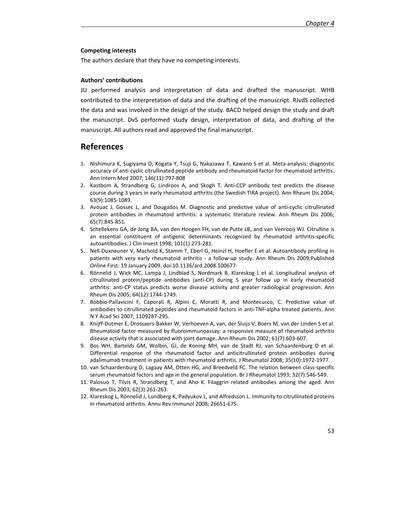#### **Competing interests**

The authors declare that they have no competing interests.

#### **Authors' contributions**

JU performed analysis and interpretation of data and drafted the manuscript. WHB contributed to the interpretation of data and the drafting of the manuscript. RJvdS collected the data and was involved in the design of the study. BACD helped design the study and draft the manuscript. DvS performed study design, interpretation of data, and drafting of the manuscript. All authors read and approved the final manuscript.

## **References**

- 1. Nishimura K, Sugiyama D, Kogata Y, Tsuji G, Nakazawa T, Kawano S et al. Meta-analysis: diagnostic accuracy of anti-cyclic citrullinated peptide antibody and rheumatoid factor for rheumatoid arthritis. Ann Intern Med 2007; 146(11):797-808
- 2. Kastbom A, Strandberg G, Lindroos A, and Skogh T. Anti-CCP antibody test predicts the disease course during 3 years in early rheumatoid arthritis (the Swedish TIRA project). Ann Rheum Dis 2004; 63(9):1085-1089.
- 3. Avouac J, Gossec L, and Dougados M. Diagnostic and predictive value of anti-cyclic citrullinated protein antibodies in rheumatoid arthritis: a systematic literature review. Ann Rheum Dis 2006; 65(7):845-851.
- 4. Schellekens GA, de Jong BA, van den Hoogen FH, van de Putte LB, and van Venrooij WJ. Citrulline is an essential constituent of antigenic determinants recognized by rheumatoid arthritis-specific autoantibodies. J Clin Invest 1998; 101(1):273-281.
- 5. Nell-Duxneuner V, Machold K, Stamm T, Eberl G, Heinzl H, Hoefler E et al. Autoantibody profiling in patients with very early rheumatoid arthritis - a follow-up study. Ann Rheum Dis 2009;Published Online First: 19 January 2009. doi:10.1136/ard.2008.100677-
- 6. Rönnelid J, Wick MC, Lampa J, Lindblad S, Nordmark B, Klareskog L et al. Longitudinal analysis of citrullinated protein/peptide antibodies (anti-CP) during 5 year follow up in early rheumatoid arthritis: anti-CP status predicts worse disease activity and greater radiological progression. Ann Rheum Dis 2005; 64(12):1744-1749.
- 7. Bobbio-Pallavicini F, Caporali R, Alpini C, Moratti R, and Montecucco, C. Predictive value of antibodies to citrullinated peptides and rheumatoid factors in anti-TNF-alpha treated patients. Ann N Y Acad Sci 2007; 1109287-295.
- 8. Knijff-Dutmer E, Drossaers-Bakker W, Verhoeven A, van, der Sluijs V, Boers M, van der Linden S et al. Rheumatoid factor measured by fluoroimmunoassay: a responsive measure of rheumatoid arthritis disease activity that is associated with joint damage. Ann Rheum Dis 2002; 61(7):603-607.
- 9. Bos WH, Bartelds GM, Wolbin, GJ, de Koning MH, van de Stadt RJ, van Schaardenburg D et al. Differential response of the rheumatoid factor and anticitrullinated protein antibodies during adalimumab treatment in patients with rheumatoid arthritis. J Rheumatol 2008; 35(10):1972-1977.
- 10. van Schaardenburg D, Lagaay AM, Otten HG, and Breedveld FC. The relation between class-specific serum rheumatoid factors and age in the general population. Br J Rheumatol 1993; 32(7):546-549.
- 11. Palosuo T, Tilvis R, Strandberg T, and Aho K. Filaggrin related antibodies among the aged. Ann Rheum Dis 2003; 62(3):261-263.
- 12. Klareskog L, Rönnelid J, Lundberg K, Padyukov L, and Alfredsson L. Immunity to citrullinated proteins in rheumatoid arthritis. Annu Rev Immunol 2008; 26651-675.